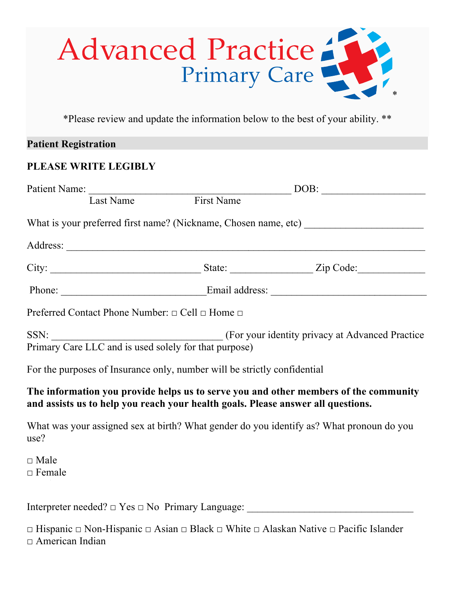# \*

\*Please review and update the information below to the best of your ability. \*\*

### **Patient Registration**

## **PLEASE WRITE LEGIBLY**

|                                                                          |                                                                | What is your preferred first name? (Nickname, Chosen name, etc)                                                                                                          |  |  |  |  |
|--------------------------------------------------------------------------|----------------------------------------------------------------|--------------------------------------------------------------------------------------------------------------------------------------------------------------------------|--|--|--|--|
|                                                                          |                                                                |                                                                                                                                                                          |  |  |  |  |
|                                                                          |                                                                | $City:$ $Listy:$ $Zip Code:$                                                                                                                                             |  |  |  |  |
|                                                                          |                                                                |                                                                                                                                                                          |  |  |  |  |
|                                                                          | Preferred Contact Phone Number: $\Box$ Cell $\Box$ Home $\Box$ |                                                                                                                                                                          |  |  |  |  |
|                                                                          | Primary Care LLC and is used solely for that purpose)          |                                                                                                                                                                          |  |  |  |  |
| For the purposes of Insurance only, number will be strictly confidential |                                                                |                                                                                                                                                                          |  |  |  |  |
|                                                                          |                                                                | The information you provide helps us to serve you and other members of the community<br>and assists us to help you reach your health goals. Please answer all questions. |  |  |  |  |
| use?                                                                     |                                                                | What was your assigned sex at birth? What gender do you identify as? What pronoun do you                                                                                 |  |  |  |  |
| $\Box$ Male<br>$\Box$ Female                                             |                                                                |                                                                                                                                                                          |  |  |  |  |
|                                                                          |                                                                | Interpreter needed? $\Box$ Yes $\Box$ No Primary Language: __________________________                                                                                    |  |  |  |  |

□ Hispanic □ Non-Hispanic □ Asian □ Black □ White □ Alaskan Native □ Pacific Islander  $\Box$  American Indian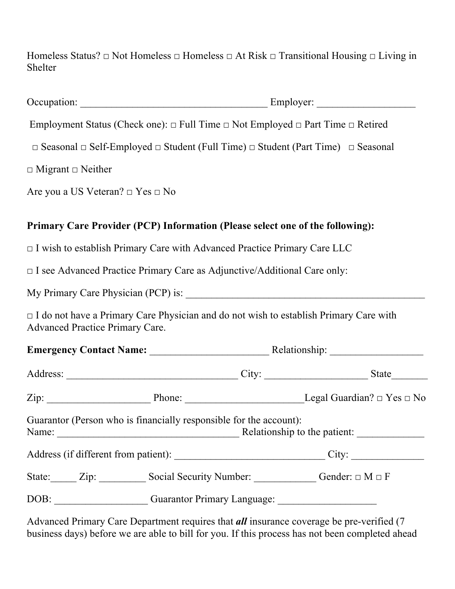Homeless Status?  $\Box$  Not Homeless  $\Box$  Homeless  $\Box$  At Risk  $\Box$  Transitional Housing  $\Box$  Living in Shelter

| Employment Status (Check one): $\Box$ Full Time $\Box$ Not Employed $\Box$ Part Time $\Box$ Retired                                    |                                                                                                            |  |  |  |  |  |
|----------------------------------------------------------------------------------------------------------------------------------------|------------------------------------------------------------------------------------------------------------|--|--|--|--|--|
|                                                                                                                                        | $\Box$ Seasonal $\Box$ Self-Employed $\Box$ Student (Full Time) $\Box$ Student (Part Time) $\Box$ Seasonal |  |  |  |  |  |
| $\Box$ Migrant $\Box$ Neither                                                                                                          |                                                                                                            |  |  |  |  |  |
| Are you a US Veteran? $\Box$ Yes $\Box$ No                                                                                             |                                                                                                            |  |  |  |  |  |
|                                                                                                                                        | Primary Care Provider (PCP) Information (Please select one of the following):                              |  |  |  |  |  |
|                                                                                                                                        | $\Box$ I wish to establish Primary Care with Advanced Practice Primary Care LLC                            |  |  |  |  |  |
|                                                                                                                                        | $\Box$ I see Advanced Practice Primary Care as Adjunctive/Additional Care only:                            |  |  |  |  |  |
|                                                                                                                                        |                                                                                                            |  |  |  |  |  |
| $\Box$ I do not have a Primary Care Physician and do not wish to establish Primary Care with<br><b>Advanced Practice Primary Care.</b> |                                                                                                            |  |  |  |  |  |
|                                                                                                                                        |                                                                                                            |  |  |  |  |  |
|                                                                                                                                        |                                                                                                            |  |  |  |  |  |
|                                                                                                                                        |                                                                                                            |  |  |  |  |  |
| Guarantor (Person who is financially responsible for the account):                                                                     |                                                                                                            |  |  |  |  |  |
|                                                                                                                                        |                                                                                                            |  |  |  |  |  |
|                                                                                                                                        | State: Zip: Social Security Number: Gender: 0 M O F                                                        |  |  |  |  |  |
|                                                                                                                                        | DOB: Guarantor Primary Language: CODB:                                                                     |  |  |  |  |  |
|                                                                                                                                        |                                                                                                            |  |  |  |  |  |

Advanced Primary Care Department requires that *all* insurance coverage be pre-verified (7 business days) before we are able to bill for you. If this process has not been completed ahead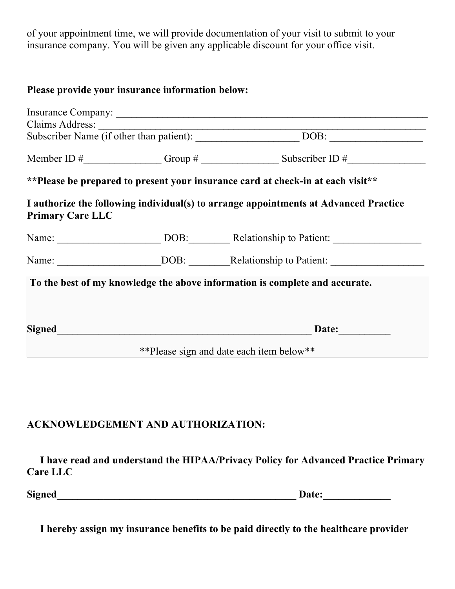of your appointment time, we will provide documentation of your visit to submit to your insurance company. You will be given any applicable discount for your office visit.

## **Please provide your insurance information below:**

|                                                                                                                 |  | Insurance Company:                                                              |  |  |  |
|-----------------------------------------------------------------------------------------------------------------|--|---------------------------------------------------------------------------------|--|--|--|
|                                                                                                                 |  |                                                                                 |  |  |  |
|                                                                                                                 |  | Subscriber Name (if other than patient): DOB: DOB:                              |  |  |  |
|                                                                                                                 |  | Member ID $\#$ Group $\#$ Group $\#$ Subscriber ID $\#$                         |  |  |  |
|                                                                                                                 |  | **Please be prepared to present your insurance card at check-in at each visit** |  |  |  |
| I authorize the following individual(s) to arrange appointments at Advanced Practice<br><b>Primary Care LLC</b> |  |                                                                                 |  |  |  |
|                                                                                                                 |  |                                                                                 |  |  |  |
|                                                                                                                 |  | Name: DOB: Relationship to Patient:                                             |  |  |  |
| To the best of my knowledge the above information is complete and accurate.                                     |  |                                                                                 |  |  |  |
| Signed<br><u>Signed</u>                                                                                         |  | Date:                                                                           |  |  |  |
| **Please sign and date each item below**                                                                        |  |                                                                                 |  |  |  |

# **ACKNOWLEDGEMENT AND AUTHORIZATION:**

 **I have read and understand the HIPAA/Privacy Policy for Advanced Practice Primary Care LLC**

| <b>Signed</b><br>Date: |  |
|------------------------|--|
|------------------------|--|

 **I hereby assign my insurance benefits to be paid directly to the healthcare provider**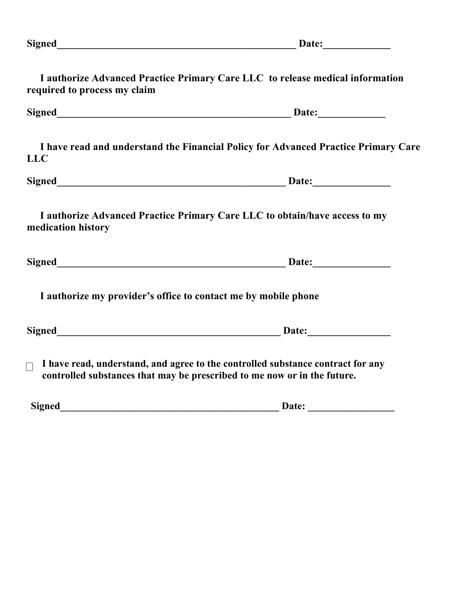| ngnet<br>. . |  |
|--------------|--|
|              |  |

| required to process my claim | I authorize Advanced Practice Primary Care LLC to release medical information                                                                               |
|------------------------------|-------------------------------------------------------------------------------------------------------------------------------------------------------------|
|                              |                                                                                                                                                             |
| <b>LLC</b>                   | I have read and understand the Financial Policy for Advanced Practice Primary Care                                                                          |
|                              |                                                                                                                                                             |
| medication history           | I authorize Advanced Practice Primary Care LLC to obtain/have access to my                                                                                  |
|                              | Signed <b>Example 20</b> Date: <u> Date: Date: University</u>                                                                                               |
|                              | I authorize my provider's office to contact me by mobile phone                                                                                              |
|                              |                                                                                                                                                             |
| П.                           | I have read, understand, and agree to the controlled substance contract for any<br>controlled substances that may be prescribed to me now or in the future. |
|                              |                                                                                                                                                             |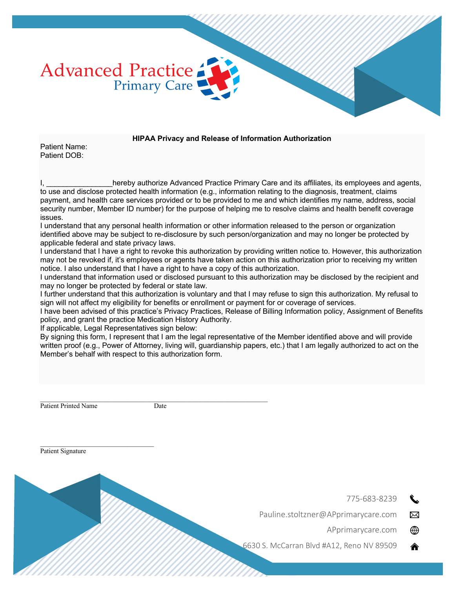

#### **HIPAA Privacy and Release of Information Authorization**

Patient Name: Patient DOB:

I, \_\_\_\_\_\_\_\_\_\_\_\_\_\_\_\_hereby authorize Advanced Practice Primary Care and its affiliates, its employees and agents, to use and disclose protected health information (e.g., information relating to the diagnosis, treatment, claims payment, and health care services provided or to be provided to me and which identifies my name, address, social security number, Member ID number) for the purpose of helping me to resolve claims and health benefit coverage issues.

I understand that any personal health information or other information released to the person or organization identified above may be subject to re-disclosure by such person/organization and may no longer be protected by applicable federal and state privacy laws.

I understand that I have a right to revoke this authorization by providing written notice to. However, this authorization may not be revoked if, it's employees or agents have taken action on this authorization prior to receiving my written notice. I also understand that I have a right to have a copy of this authorization.

I understand that information used or disclosed pursuant to this authorization may be disclosed by the recipient and may no longer be protected by federal or state law.

I further understand that this authorization is voluntary and that I may refuse to sign this authorization. My refusal to sign will not affect my eligibility for benefits or enrollment or payment for or coverage of services.

I have been advised of this practice's Privacy Practices, Release of Billing Information policy, Assignment of Benefits policy, and grant the practice Medication History Authority.

If applicable, Legal Representatives sign below:

By signing this form, I represent that I am the legal representative of the Member identified above and will provide written proof (e.g., Power of Attorney, living will, guardianship papers, etc.) that I am legally authorized to act on the Member's behalf with respect to this authorization form.

Patient Printed Name Date

Patient Signature

775-683-8239 Pauline.stoltzner@APprimarycare.com 网 APprimarycare.com 6630 S. McCarran Blvd #A12, Reno NV 89509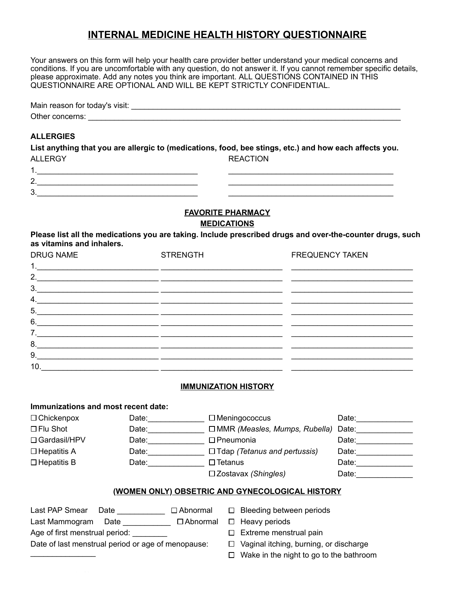## **INTERNAL MEDICINE HEALTH HISTORY QUESTIONNAIRE**

Your answers on this form will help your health care provider better understand your medical concerns and conditions. If you are uncomfortable with any question, do not answer it. If you cannot remember specific details, please approximate. Add any notes you think are important. ALL QUESTIONS CONTAINED IN THIS QUESTIONNAIRE ARE OPTIONAL AND WILL BE KEPT STRICTLY CONFIDENTIAL.

| Main reason for today's visit: |  |
|--------------------------------|--|
| Other concerns:                |  |

#### **ALLERGIES**

**List anything that you are allergic to (medications, food, bee stings, etc.) and how each affects you.** ALLERGY **REACTION** 

#### **FAVORITE PHARMACY MEDICATIONS**

#### Please list all the medications you are taking. Include prescribed drugs and over-the-counter drugs, such **as vitamins and inhalers.**

| <b>DRUG NAME</b> | <b>STRENGTH</b> | <b>FREQUENCY TAKEN</b>                                      |
|------------------|-----------------|-------------------------------------------------------------|
|                  |                 |                                                             |
|                  |                 |                                                             |
| 3.               |                 |                                                             |
| 4.               |                 |                                                             |
|                  |                 |                                                             |
|                  |                 | 6.                                                          |
|                  |                 |                                                             |
| 8.               |                 |                                                             |
| 9.               |                 | <u> 1989 - Johann Stoff, amerikansk politiker (d. 1989)</u> |
| 10.              |                 |                                                             |

#### **IMMUNIZATION HISTORY**

#### **Immunizations and most recent date:**

| Date: |                     | Date:                                                                                                                                               |
|-------|---------------------|-----------------------------------------------------------------------------------------------------------------------------------------------------|
| Date: |                     |                                                                                                                                                     |
| Date: | $\square$ Pneumonia | Date:                                                                                                                                               |
| Date: |                     | Date:                                                                                                                                               |
| Date: | □ Tetanus           | Date:                                                                                                                                               |
|       |                     | Date:                                                                                                                                               |
|       |                     | $\Box$ Meningococcus<br>$\Box$ MMR (Measles, Mumps, Rubella) Date:<br>$\Box$ Tdap ( <i>Tetanus and pertussis</i> )<br>$\square$ Zostavax (Shingles) |

#### **(WOMEN ONLY) OBSETRIC AND GYNECOLOGICAL HISTORY**

| Last PAP Smear | Date | $\Box$ Abnormal |
|----------------|------|-----------------|
|----------------|------|-----------------|

Last Mammogram Date \_\_\_\_\_\_\_\_\_\_\_ □ Abnormal □ Heavy periods

 $\square$  Bleeding between periods

 $\Box$  Extreme menstrual pain

Age of first menstrual period:

Date of last menstrual period or age of menopause:  $\mathcal{L}$  , we have the set of the set of the set of the set of the set of the set of the set of the set of the set of the set of the set of the set of the set of the set of the set of the set of the set of the set of the

- $\Box$  Vaginal itching, burning, or discharge
- $\Box$  Wake in the night to go to the bathroom

 $\mathcal{L}_\text{max}$  and  $\mathcal{L}_\text{max}$  and  $\mathcal{L}_\text{max}$  and  $\mathcal{L}_\text{max}$  $\mathcal{L}_\text{max}$  and  $\mathcal{L}_\text{max}$  and  $\mathcal{L}_\text{max}$  and  $\mathcal{L}_\text{max}$  $\mathcal{L}_\text{max}$  and  $\mathcal{L}_\text{max}$  and  $\mathcal{L}_\text{max}$  and  $\mathcal{L}_\text{max}$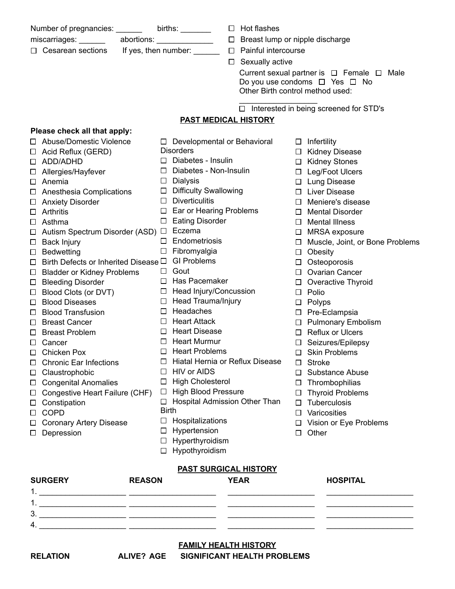|                          | Number of pregnancies: _______                   |               | births: $\_\_$                                         |                                           | $\Box$ Hot flashes               |         |                                                        |
|--------------------------|--------------------------------------------------|---------------|--------------------------------------------------------|-------------------------------------------|----------------------------------|---------|--------------------------------------------------------|
|                          | miscarriages: ______                             |               | abortions: ________________                            | Breast lump or nipple discharge<br>$\Box$ |                                  |         |                                                        |
| $\Box$ Cesarean sections |                                                  |               | If yes, then number: $\frac{1}{2}$<br>$\Box$           |                                           | Painful intercourse              |         |                                                        |
|                          |                                                  |               |                                                        | $\Box$                                    | Sexually active                  |         |                                                        |
|                          |                                                  |               |                                                        |                                           |                                  |         | Current sexual partner is $\Box$ Female $\Box$<br>Male |
|                          |                                                  |               |                                                        |                                           |                                  |         | Do you use condoms $\Box$ Yes $\Box$ No                |
|                          |                                                  |               |                                                        |                                           | Other Birth control method used: |         |                                                        |
|                          |                                                  |               |                                                        |                                           |                                  |         |                                                        |
|                          |                                                  |               |                                                        |                                           |                                  |         | $\Box$ Interested in being screened for STD's          |
|                          |                                                  |               | <b>PAST MEDICAL HISTORY</b>                            |                                           |                                  |         |                                                        |
|                          | Please check all that apply:                     |               |                                                        |                                           |                                  |         |                                                        |
|                          | □ Abuse/Domestic Violence                        |               | $\Box$ Developmental or Behavioral<br><b>Disorders</b> |                                           |                                  |         | $\Box$ Infertility                                     |
| ப                        | Acid Reflux (GERD)                               |               | $\Box$ Diabetes - Insulin                              |                                           |                                  |         | □ Kidney Disease                                       |
| $\Box$                   | ADD/ADHD                                         |               |                                                        |                                           |                                  |         | □ Kidney Stones                                        |
| $\Box$                   | Allergies/Hayfever                               | $\Box$        | Diabetes - Non-Insulin                                 |                                           |                                  |         | □ Leg/Foot Ulcers                                      |
|                          | $\Box$ Anemia                                    | $\mathcal{L}$ | Dialysis                                               |                                           |                                  |         | $\Box$ Lung Disease                                    |
|                          | $\Box$ Anesthesia Complications                  |               | □ Difficulty Swallowing                                |                                           |                                  |         | □ Liver Disease                                        |
|                          | □ Anxiety Disorder                               | $\Box$        | <b>Diverticulitis</b>                                  |                                           |                                  | $\Box$  | Meniere's disease                                      |
| □                        | Arthritis                                        | $\Box$        | Ear or Hearing Problems                                |                                           |                                  | $\Box$  | <b>Mental Disorder</b>                                 |
|                          | $\Box$ Asthma                                    | $\Box$        | <b>Eating Disorder</b>                                 |                                           |                                  |         | $\Box$ Mental Illness                                  |
|                          | $\Box$ Autism Spectrum Disorder (ASD) $\Box$     |               | Eczema                                                 |                                           |                                  |         | $\Box$ MRSA exposure                                   |
|                          | $\Box$ Back Injury                               |               | Endometriosis                                          |                                           |                                  | Ш       | Muscle, Joint, or Bone Problems                        |
|                          | $\Box$ Bedwetting                                |               | Fibromyalgia                                           |                                           |                                  |         | $\Box$ Obesity                                         |
|                          | $\Box$ Birth Defects or Inherited Disease $\Box$ |               | <b>GI Problems</b>                                     |                                           |                                  |         | $\Box$ Osteoporosis                                    |
|                          | □ Bladder or Kidney Problems                     | $\Box$        | Gout                                                   |                                           |                                  | $\Box$  | <b>Ovarian Cancer</b>                                  |
|                          | □ Bleeding Disorder                              | $\Box$        | Has Pacemaker                                          |                                           |                                  | $\Box$  | Overactive Thyroid                                     |
|                          | $\Box$ Blood Clots (or DVT)                      |               | □ Head Injury/Concussion                               |                                           |                                  | $\Box$  | Polio                                                  |
|                          | $\Box$ Blood Diseases                            |               | $\Box$ Head Trauma/Injury                              |                                           |                                  |         | $\square$ Polyps                                       |
| $\Box$                   | <b>Blood Transfusion</b>                         |               | $\Box$ Headaches                                       |                                           |                                  |         | □ Pre-Eclampsia                                        |
| □                        | <b>Breast Cancer</b>                             | $\Box$        | <b>Heart Attack</b>                                    |                                           |                                  |         | □ Pulmonary Embolism                                   |
| □                        | <b>Breast Problem</b>                            | $\Box$        | <b>Heart Disease</b>                                   |                                           |                                  | $\Box$  | <b>Reflux or Ulcers</b>                                |
|                          | $\Box$ Cancer                                    | ⊔             | <b>Heart Murmur</b>                                    |                                           |                                  |         | □ Seizures/Epilepsy                                    |
|                          | □ Chicken Pox                                    | $\Box$        | <b>Heart Problems</b>                                  |                                           |                                  | $\Box$  | <b>Skin Problems</b>                                   |
| □                        | <b>Chronic Ear Infections</b>                    |               | Hiatal Hernia or Reflux Disease                        |                                           |                                  | $\Box$  | Stroke                                                 |
| □                        | Claustrophobic                                   |               | <b>HIV or AIDS</b>                                     |                                           |                                  | U       | Substance Abuse                                        |
| $\Box$                   | <b>Congenital Anomalies</b>                      | ⊔             | <b>High Cholesterol</b>                                |                                           |                                  | ப       | Thrombophilias                                         |
| ⊔                        | Congestive Heart Failure (CHF)                   | ⊔             | <b>High Blood Pressure</b>                             |                                           |                                  | ப       | <b>Thyroid Problems</b>                                |
| ப                        | Constipation                                     |               | <b>Hospital Admission Other Than</b>                   |                                           |                                  | $\perp$ | Tuberculosis                                           |
| ப                        | <b>COPD</b>                                      | Birth         |                                                        |                                           |                                  | $\Box$  | Varicosities                                           |
| ⊔                        | <b>Coronary Artery Disease</b>                   |               | Hospitalizations                                       |                                           |                                  |         | $\Box$ Vision or Eye Problems                          |
| ப                        | Depression                                       | ப             | Hypertension                                           |                                           |                                  | ப       | Other                                                  |
|                          |                                                  | ப             | Hyperthyroidism                                        |                                           |                                  |         |                                                        |
|                          |                                                  |               | Hypothyroidism                                         |                                           |                                  |         |                                                        |
|                          |                                                  |               |                                                        |                                           |                                  |         |                                                        |
|                          |                                                  |               | <b>PAST SURGICAL HISTORY</b>                           |                                           |                                  |         |                                                        |

| <b>SURGERY</b> | <b>REASON</b> | <b>YEAR</b> | <b>HOSPITAL</b> |  |
|----------------|---------------|-------------|-----------------|--|
| ◢              |               |             |                 |  |
| 4              |               |             |                 |  |
| 3.             |               |             |                 |  |
| 4.             |               |             |                 |  |

# **FAMILY HEALTH HISTORY**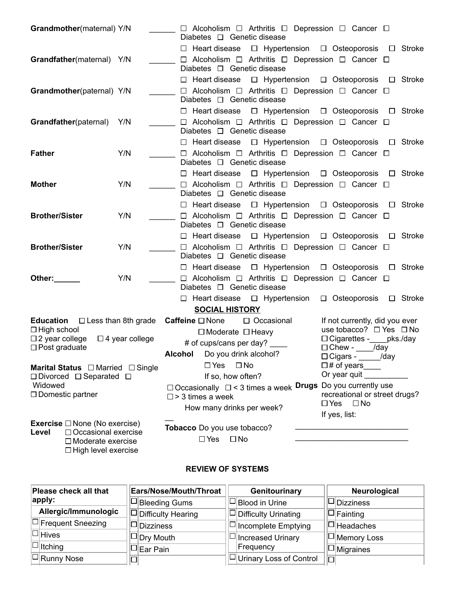| Grandmother(maternal) Y/N                                                                                                                      | $\Box$ Alcoholism $\Box$ Arthritis $\Box$ Depression $\Box$ Cancer $\Box$<br>Diabetes $\Box$ Genetic disease                                                                                                                                                                                                |
|------------------------------------------------------------------------------------------------------------------------------------------------|-------------------------------------------------------------------------------------------------------------------------------------------------------------------------------------------------------------------------------------------------------------------------------------------------------------|
| Grandfather(maternal) Y/N                                                                                                                      | □ Hypertension □ Osteoporosis □ Stroke<br>$\Box$ Heart disease<br>$\Box$ Alcoholism $\Box$ Arthritis $\Box$ Depression $\Box$ Cancer $\Box$<br>Diabetes $\Box$ Genetic disease                                                                                                                              |
| Grandmother(paternal) Y/N                                                                                                                      | $\Box$ Heart disease<br>$\Box$ Hypertension $\Box$ Osteoporosis $\Box$ Stroke<br>$\Box$ Alcoholism $\Box$ Arthritis $\Box$ Depression $\Box$ Cancer $\Box$<br>Diabetes $\Box$ Genetic disease                                                                                                               |
| Grandfather(paternal)<br>Y/N                                                                                                                   | $\Box$ Heart disease $\Box$ Hypertension $\Box$ Osteoporosis $\Box$ Stroke<br>$\Box$ Alcoholism $\Box$ Arthritis $\Box$ Depression $\Box$ Cancer $\Box$<br>Diabetes $\Box$ Genetic disease                                                                                                                  |
| <b>Father</b><br>Y/N                                                                                                                           | $\Box$ Hypertension $\Box$ Osteoporosis $\Box$ Stroke<br>$\Box$ Heart disease<br>$\Box$ Alcoholism $\Box$ Arthritis $\Box$ Depression $\Box$ Cancer $\Box$<br>Diabetes $\Box$ Genetic disease                                                                                                               |
| <b>Mother</b><br>Y/N                                                                                                                           | $\Box$ Heart disease $\Box$ Hypertension $\Box$ Osteoporosis $\Box$ Stroke<br>$\Box$ Alcoholism $\Box$ Arthritis $\Box$ Depression $\Box$ Cancer $\Box$<br>Diabetes $\Box$ Genetic disease                                                                                                                  |
| <b>Brother/Sister</b><br>Y/N                                                                                                                   | $\Box$ Hypertension $\Box$ Osteoporosis $\Box$ Stroke<br>$\Box$ Heart disease<br>$\Box$ Alcoholism $\Box$ Arthritis $\Box$ Depression $\Box$ Cancer $\Box$<br>Diabetes $\Box$ Genetic disease                                                                                                               |
| <b>Brother/Sister</b><br>Y/N                                                                                                                   | $\Box$ Heart disease $\Box$ Hypertension $\Box$ Osteoporosis $\Box$ Stroke<br>$\Box$ Alcoholism $\Box$ Arthritis $\Box$ Depression $\Box$ Cancer $\Box$<br>Diabetes $\Box$ Genetic disease                                                                                                                  |
| Y/N<br>Other:                                                                                                                                  | $\Box$ Hypertension $\Box$ Osteoporosis $\Box$ Stroke<br>$\Box$ Heart disease<br>$\Box$ Alcoholism $\Box$ Arthritis $\Box$ Depression $\Box$ Cancer $\Box$<br>Diabetes □ Genetic disease<br>$\Box$ Stroke                                                                                                   |
|                                                                                                                                                | $\Box$ Osteoporosis<br>$\Box$ Heart disease $\Box$ Hypertension<br><b>SOCIAL HISTORY</b>                                                                                                                                                                                                                    |
| <b>Education</b> $\Box$ Less than 8th grade<br>$\Box$ High school<br>$\square$ 2 year college<br>$\Box$ 4 year college<br>$\Box$ Post graduate | Caffeine $\square$ None<br>$\Box$ Occasional<br>If not currently, did you ever<br>use tobacco? □ Yes □ No<br>$\Box$ Moderate $\Box$ Heavy<br>$\Box$ Cigarettes - pks./day<br># of cups/cans per day? ____<br>$\Box$ Chew - $\Box$ /day<br>Alcohol Do you drink alcohol?<br>□ Cigars - _____/day             |
| <b>Marital Status</b> $\Box$ Married $\Box$ Single<br>$\Box$ Divorced $\Box$ Separated $\Box$<br>Widowed<br>$\Box$ Domestic partner            | $\square$ No<br>$\Box$ Yes<br>$\square$ # of years ____<br>Or year quit<br>If so, how often?<br>$\Box$ Occasionally $\Box$ < 3 times a week Drugs Do you currently use<br>recreational or street drugs?<br>$\square$ > 3 times a week<br>$\Box$ Yes $\Box$ No<br>How many drinks per week?<br>If yes, list: |
| <b>Exercise</b> $\Box$ None (No exercise)<br>□ Occasional exercise<br>Level<br>$\Box$ Moderate exercise<br>$\Box$ High level exercise          | Tobacco Do you use tobacco?<br>$\square$ No<br>$\square$ Yes                                                                                                                                                                                                                                                |

#### **REVIEW OF SYSTEMS**

| Please check all that      | <b>Ears/Nose/Mouth/Throat</b>     | Genitourinary                       | Neurological               |
|----------------------------|-----------------------------------|-------------------------------------|----------------------------|
| apply:                     | $\Box$ Bleeding Gums              | $\Box$ Blood in Urine               | $\Box$ Dizziness           |
| Allergic/Immunologic       | √ <sup>□</sup> Difficulty Hearing | <sub>I</sub>  □Difficulty Urinating | ⊤ <sup>[□</sup> Fainting   |
| $ \Box $ Frequent Sneezing | $\Box$ Dizziness                  | $\Box$ Incomplete Emptying          | $\Box$ Headaches           |
| $\Box$ Hives               | $\Box$ Dry Mouth                  | $\Box$ Increased Urinary            | <sub></sub>  □ Memory Loss |
| $\Box$ Itching             | $\Box$ Ear Pain                   | Frequency                           | ,  □ Migraines             |
| <b>D</b> Runny Nose        |                                   | $\Box$ Urinary Loss of Control      | ⊡                          |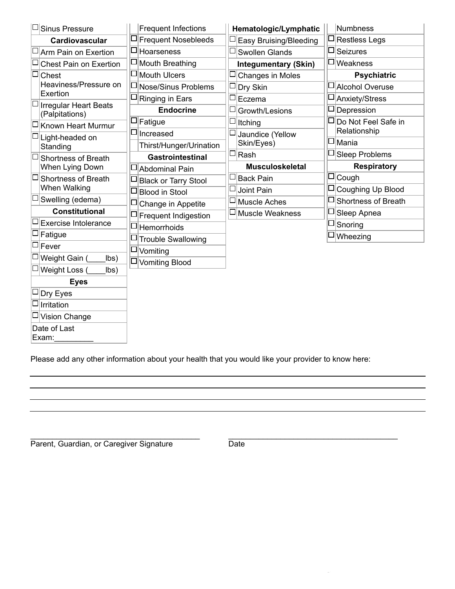| $\Box$ Sinus Pressure                          | <b>Frequent Infections</b>  | Hematologic/Lymphatic       | Numbness            |
|------------------------------------------------|-----------------------------|-----------------------------|---------------------|
| <b>Cardiovascular</b>                          | $\Box$ Frequent Nosebleeds  | Easy Bruising/Bleeding      | Restless Legs       |
| $\square$ Arm Pain on Exertion                 | □Hoarseness                 | Swollen Glands<br>ப         | $\Box$ Seizures     |
| Chest Pain on Exertion                         | $\Box$ Mouth Breathing      | <b>Integumentary (Skin)</b> | $\square$ Weakness  |
| Chest                                          | $\Box$ Mouth Ulcers         | Changes in Moles            | <b>Psychiatric</b>  |
| Heaviness/Pressure on                          | $\Box$ Nose/Sinus Problems  | Dry Skin                    | □ Alcohol Overuse   |
| Exertion                                       | Ringing in Ears             | Eczema<br>□                 | □ Anxiety/Stress    |
| <b>Irregular Heart Beats</b><br>(Palpitations) | <b>Endocrine</b>            | □<br>Growth/Lesions         | Depression          |
| Known Heart Murmur                             | Fatigue                     | $\Box$<br>Itching           | Do Not Feel Safe in |
| Light-headed on                                | Increased                   | ⊡<br>Jaundice (Yellow       | Relationship        |
| Standing                                       | Thirst/Hunger/Urination     | Skin/Eyes)                  | <sup>l</sup> Mania  |
| Shortness of Breath                            | <b>Gastrointestinal</b>     | ⊔<br>Rash                   | Sleep Problems      |
| When Lying Down                                | □ Abdominal Pain            | <b>Musculoskeletal</b>      | <b>Respiratory</b>  |
| Shortness of Breath                            | <b>Black or Tarry Stool</b> | <b>Back Pain</b>            | $\Box$ Cough        |
| When Walking                                   | <b>Blood in Stool</b>       | Joint Pain                  | Coughing Up Blood   |
| Swelling (edema)                               | Change in Appetite          | Muscle Aches                | Shortness of Breath |
| <b>Constitutional</b>                          | $\Box$ Frequent Indigestion | Muscle Weakness<br>ப        | Sleep Apnea         |
| <b>Exercise Intolerance</b>                    | Hemorrhoids                 |                             | Snoring             |
| Fatigue                                        | <b>Trouble Swallowing</b>   |                             | Wheezing            |
| Fever                                          | $\square$ Vomiting          |                             |                     |
| Weight Gain (<br>lbs)                          | □ Vomiting Blood            |                             |                     |
| Weight Loss (<br>lbs)                          |                             |                             |                     |
| <b>Eyes</b>                                    |                             |                             |                     |
| Dry Eyes                                       |                             |                             |                     |
| Irritation                                     |                             |                             |                     |
| Vision Change                                  |                             |                             |                     |
| Date of Last                                   |                             |                             |                     |
| Exam:                                          |                             |                             |                     |

Please add any other information about your health that you would like your provider to know here:

Parent, Guardian, or Caregiver Signature

\_\_\_\_\_\_\_\_\_\_\_\_\_\_\_\_\_\_\_\_\_\_\_\_\_\_\_\_\_\_\_\_\_\_\_\_\_\_\_

Date

\_\_\_\_\_\_\_\_\_\_\_\_\_\_\_\_\_\_\_\_\_\_\_\_\_\_\_\_\_\_\_\_\_\_\_\_\_\_\_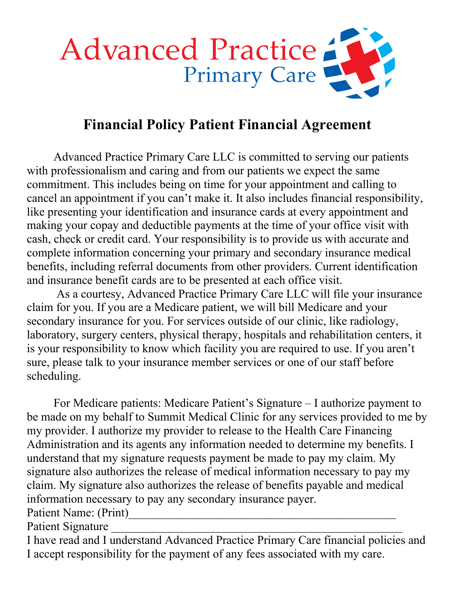

# **Financial Policy Patient Financial Agreement**

Advanced Practice Primary Care LLC is committed to serving our patients with professionalism and caring and from our patients we expect the same commitment. This includes being on time for your appointment and calling to cancel an appointment if you can't make it. It also includes financial responsibility, like presenting your identification and insurance cards at every appointment and making your copay and deductible payments at the time of your office visit with cash, check or credit card. Your responsibility is to provide us with accurate and complete information concerning your primary and secondary insurance medical benefits, including referral documents from other providers. Current identification and insurance benefit cards are to be presented at each office visit.

As a courtesy, Advanced Practice Primary Care LLC will file your insurance claim for you. If you are a Medicare patient, we will bill Medicare and your secondary insurance for you. For services outside of our clinic, like radiology, laboratory, surgery centers, physical therapy, hospitals and rehabilitation centers, it is your responsibility to know which facility you are required to use. If you aren't sure, please talk to your insurance member services or one of our staff before scheduling.

For Medicare patients: Medicare Patient's Signature – I authorize payment to be made on my behalf to Summit Medical Clinic for any services provided to me by my provider. I authorize my provider to release to the Health Care Financing Administration and its agents any information needed to determine my benefits. I understand that my signature requests payment be made to pay my claim. My signature also authorizes the release of medical information necessary to pay my claim. My signature also authorizes the release of benefits payable and medical information necessary to pay any secondary insurance payer.

Patient Name: (Print)

Patient Signature

I have read and I understand Advanced Practice Primary Care financial policies and I accept responsibility for the payment of any fees associated with my care.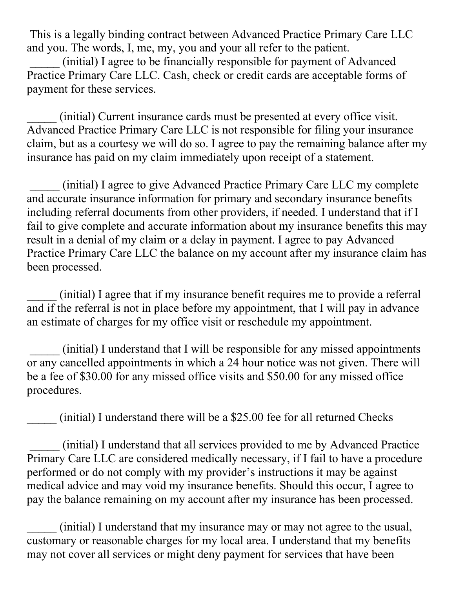This is a legally binding contract between Advanced Practice Primary Care LLC and you. The words, I, me, my, you and your all refer to the patient.

\_\_\_\_\_ (initial) I agree to be financially responsible for payment of Advanced Practice Primary Care LLC. Cash, check or credit cards are acceptable forms of payment for these services.

\_\_\_\_\_ (initial) Current insurance cards must be presented at every office visit. Advanced Practice Primary Care LLC is not responsible for filing your insurance claim, but as a courtesy we will do so. I agree to pay the remaining balance after my insurance has paid on my claim immediately upon receipt of a statement.

\_\_\_\_\_ (initial) I agree to give Advanced Practice Primary Care LLC my complete and accurate insurance information for primary and secondary insurance benefits including referral documents from other providers, if needed. I understand that if I fail to give complete and accurate information about my insurance benefits this may result in a denial of my claim or a delay in payment. I agree to pay Advanced Practice Primary Care LLC the balance on my account after my insurance claim has been processed.

\_\_\_\_\_ (initial) I agree that if my insurance benefit requires me to provide a referral and if the referral is not in place before my appointment, that I will pay in advance an estimate of charges for my office visit or reschedule my appointment.

\_\_\_\_\_ (initial) I understand that I will be responsible for any missed appointments or any cancelled appointments in which a 24 hour notice was not given. There will be a fee of \$30.00 for any missed office visits and \$50.00 for any missed office procedures.

(initial) I understand there will be a  $$25.00$  fee for all returned Checks

\_\_\_\_\_ (initial) I understand that all services provided to me by Advanced Practice Primary Care LLC are considered medically necessary, if I fail to have a procedure performed or do not comply with my provider's instructions it may be against medical advice and may void my insurance benefits. Should this occur, I agree to pay the balance remaining on my account after my insurance has been processed.

(initial) I understand that my insurance may or may not agree to the usual, customary or reasonable charges for my local area. I understand that my benefits may not cover all services or might deny payment for services that have been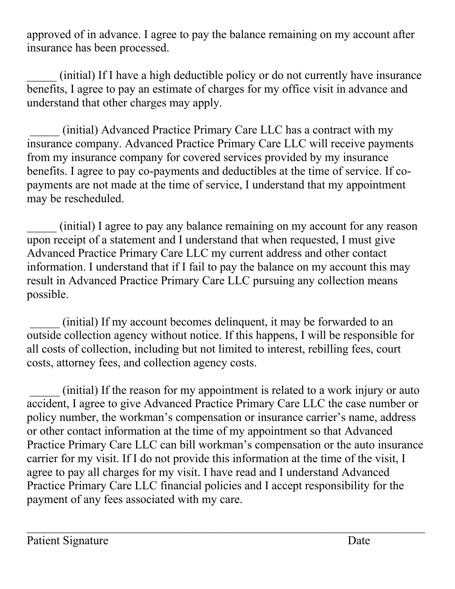approved of in advance. I agree to pay the balance remaining on my account after insurance has been processed.

(initial) If I have a high deductible policy or do not currently have insurance benefits, I agree to pay an estimate of charges for my office visit in advance and understand that other charges may apply.

\_\_\_\_\_ (initial) Advanced Practice Primary Care LLC has a contract with my insurance company. Advanced Practice Primary Care LLC will receive payments from my insurance company for covered services provided by my insurance benefits. I agree to pay co-payments and deductibles at the time of service. If copayments are not made at the time of service, I understand that my appointment may be rescheduled.

(initial) I agree to pay any balance remaining on my account for any reason upon receipt of a statement and I understand that when requested, I must give Advanced Practice Primary Care LLC my current address and other contact information. I understand that if I fail to pay the balance on my account this may result in Advanced Practice Primary Care LLC pursuing any collection means possible.

(initial) If my account becomes delinquent, it may be forwarded to an outside collection agency without notice. If this happens, I will be responsible for all costs of collection, including but not limited to interest, rebilling fees, court costs, attorney fees, and collection agency costs.

(initial) If the reason for my appointment is related to a work injury or auto accident, I agree to give Advanced Practice Primary Care LLC the case number or policy number, the workman's compensation or insurance carrier's name, address or other contact information at the time of my appointment so that Advanced Practice Primary Care LLC can bill workman's compensation or the auto insurance carrier for my visit. If I do not provide this information at the time of the visit, I agree to pay all charges for my visit. I have read and I understand Advanced Practice Primary Care LLC financial policies and I accept responsibility for the payment of any fees associated with my care.

 $\mathcal{L}_\mathcal{L} = \mathcal{L}_\mathcal{L} = \mathcal{L}_\mathcal{L} = \mathcal{L}_\mathcal{L} = \mathcal{L}_\mathcal{L} = \mathcal{L}_\mathcal{L} = \mathcal{L}_\mathcal{L} = \mathcal{L}_\mathcal{L} = \mathcal{L}_\mathcal{L} = \mathcal{L}_\mathcal{L} = \mathcal{L}_\mathcal{L} = \mathcal{L}_\mathcal{L} = \mathcal{L}_\mathcal{L} = \mathcal{L}_\mathcal{L} = \mathcal{L}_\mathcal{L} = \mathcal{L}_\mathcal{L} = \mathcal{L}_\mathcal{L}$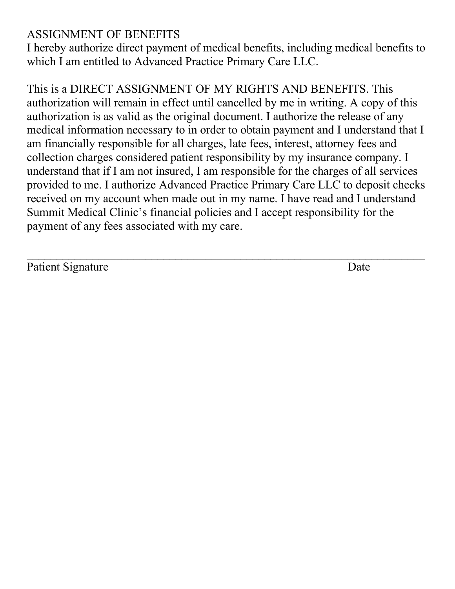# ASSIGNMENT OF BENEFITS

I hereby authorize direct payment of medical benefits, including medical benefits to which I am entitled to Advanced Practice Primary Care LLC.

This is a DIRECT ASSIGNMENT OF MY RIGHTS AND BENEFITS. This authorization will remain in effect until cancelled by me in writing. A copy of this authorization is as valid as the original document. I authorize the release of any medical information necessary to in order to obtain payment and I understand that I am financially responsible for all charges, late fees, interest, attorney fees and collection charges considered patient responsibility by my insurance company. I understand that if I am not insured, I am responsible for the charges of all services provided to me. I authorize Advanced Practice Primary Care LLC to deposit checks received on my account when made out in my name. I have read and I understand Summit Medical Clinic's financial policies and I accept responsibility for the payment of any fees associated with my care.

Patient Signature Date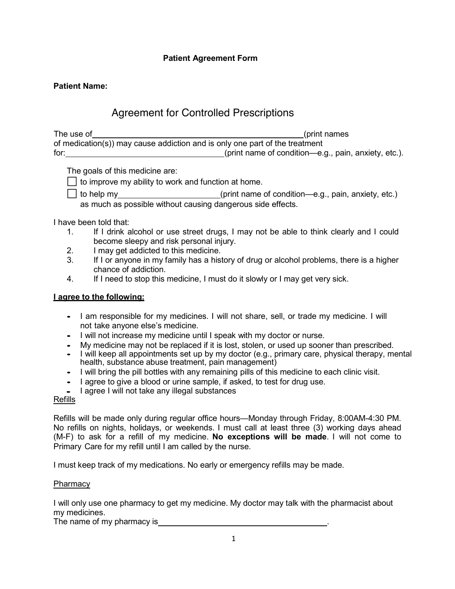#### **Patient Agreement Form**

#### **Patient Name:**

# Agreement for Controlled Prescriptions

The use of  $\qquad \qquad \qquad$  (print names of medication(s)) may cause addiction and is only one part of the treatment for: <u>condition—e.g., pain, anxiety, etc.</u>).

The goals of this medicine are:

 $\Box$  to improve my ability to work and function at home.

□ to help my \_\_\_\_\_\_\_\_\_\_\_\_\_\_\_\_\_\_\_\_\_(print name of condition—e.g., pain, anxiety, etc.) as much as possible without causing dangerous side effects.

I have been told that:

- 1. If I drink alcohol or use street drugs, I may not be able to think clearly and I could become sleepy and risk personal injury.
- 2. I may get addicted to this medicine.
- 3. If I or anyone in my family has a history of drug or alcohol problems, there is a higher chance of addiction.
- 4. If I need to stop this medicine, I must do it slowly or I may get very sick.

#### **I agree to the following:**

- **•** I am responsible for my medicines. I will not share, sell, or trade my medicine. I will not take anyone else's medicine.
- **•** I will not increase my medicine until I speak with my doctor or nurse.
- My medicine may not be replaced if it is lost, stolen, or used up sooner than prescribed.<br>
Will keep all appointments and the store for a strike than prescribed.
- I will keep all appointments set up by my doctor (e.g., primary care, physical therapy, mental<br>• I will keep all appointments set up by my doctor (e.g., primary care, physical therapy, mental health, substance abuse treatment, pain management)
- I will bring the pill bottles with any remaining pills of this medicine to each clinic visit.
- I agree to give a blood or urine sample, if asked, to test for drug use.
- **-** I agree I will not take any illegal substances

#### Refills

Refills will be made only during regular office hours—Monday through Friday, 8:00AM-4:30 PM. No refills on nights, holidays, or weekends. I must call at least three (3) working days ahead (M-F) to ask for a refill of my medicine. **No exceptions will be made**. I will not come to Primary Care for my refill until I am called by the nurse.

I must keep track of my medications. No early or emergency refills may be made.

#### **Pharmacy**

I will only use one pharmacy to get my medicine. My doctor may talk with the pharmacist about my medicines.

The name of my pharmacy is ...